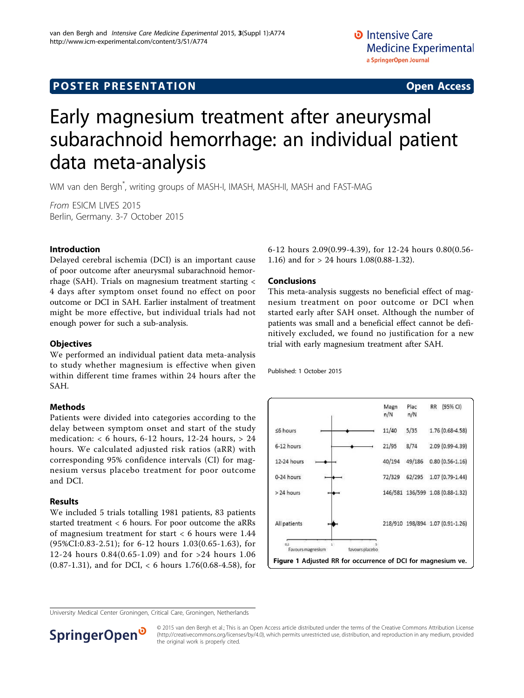## **POSTER PRESENTATION CONSUMING ACCESS**

# Early magnesium treatment after aneurysmal subarachnoid hemorrhage: an individual patient data meta-analysis

WM van den Bergh\* , writing groups of MASH-I, IMASH, MASH-II, MASH and FAST-MAG

From ESICM LIVES 2015 Berlin, Germany. 3-7 October 2015

#### Introduction

Delayed cerebral ischemia (DCI) is an important cause of poor outcome after aneurysmal subarachnoid hemorrhage (SAH). Trials on magnesium treatment starting < 4 days after symptom onset found no effect on poor outcome or DCI in SAH. Earlier instalment of treatment might be more effective, but individual trials had not enough power for such a sub-analysis.

#### **Objectives**

We performed an individual patient data meta-analysis to study whether magnesium is effective when given within different time frames within 24 hours after the SAH.

#### Methods

Patients were divided into categories according to the delay between symptom onset and start of the study medication: < 6 hours, 6-12 hours, 12-24 hours, > 24 hours. We calculated adjusted risk ratios (aRR) with corresponding 95% confidence intervals (CI) for magnesium versus placebo treatment for poor outcome and DCI.

#### Results

We included 5 trials totalling 1981 patients, 83 patients started treatment < 6 hours. For poor outcome the aRRs of magnesium treatment for start < 6 hours were 1.44 (95%CI:0.83-2.51); for 6-12 hours 1.03(0.65-1.63), for 12-24 hours 0.84(0.65-1.09) and for >24 hours 1.06 (0.87-1.31), and for DCI, < 6 hours 1.76(0.68-4.58), for

6-12 hours 2.09(0.99-4.39), for 12-24 hours 0.80(0.56- 1.16) and for > 24 hours 1.08(0.88-1.32).

#### Conclusions

This meta-analysis suggests no beneficial effect of magnesium treatment on poor outcome or DCI when started early after SAH onset. Although the number of patients was small and a beneficial effect cannot be definitively excluded, we found no justification for a new trial with early magnesium treatment after SAH.

Published: 1 October 2015



University Medical Center Groningen, Critical Care, Groningen, Netherlands



© 2015 van den Bergh et al.; This is an Open Access article distributed under the terms of the Creative Commons Attribution License [\(http://creativecommons.org/licenses/by/4.0](http://creativecommons.org/licenses/by/4.0)), which permits unrestricted use, distribution, and reproduction in any medium, provided the original work is properly cited.